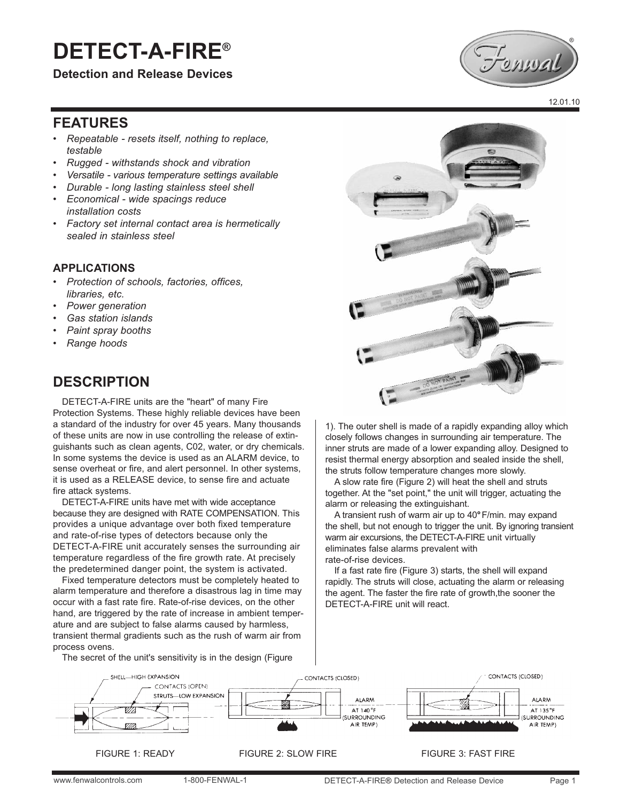# **DETECT-A-FIRE®**

**Detection and Release Devices**



12.01.10

# **FEATURES**

- *Repeatable resets itself, nothing to replace, testable*
- *Rugged withstands shock and vibration*
- *Versatile various temperature settings available*
- *Durable long lasting stainless steel shell*
- *Economical wide spacings reduce installation costs*
- *Factory set internal contact area is hermetically sealed in stainless steel*

#### **APPLlCATlONS**

- *Protection of schools, factories, offices, libraries, etc.*
- *Power generation*
- *Gas station islands*
- *Paint spray booths*
- *Range hoods*

# **DESCRIPTION**

DETECT-A-FIRE units are the "heart" of many Fire Protection Systems. These highly reliable devices have been a standard of the industry for over 45 years. Many thousands of these units are now in use controlling the release of extinguishants such as clean agents, C02, water, or dry chemicals. In some systems the device is used as an ALARM device, to sense overheat or fire, and alert personnel. In other systems, it is used as a RELEASE device, to sense fire and actuate fire attack systems.

DETECT-A-FIRE units have met with wide acceptance because they are designed with RATE COMPENSATION. This provides a unique advantage over both fixed temperature and rate-of-rise types of detectors because only the DETECT-A-FIRE unit accurately senses the surrounding air temperature regardless of the fire growth rate. At precisely the predetermined danger point, the system is activated.

Fixed temperature detectors must be completely heated to alarm temperature and therefore a disastrous lag in time may occur with a fast rate fire. Rate-of-rise devices, on the other hand, are triggered by the rate of increase in ambient temperature and are subject to false alarms caused by harmless, transient thermal gradients such as the rush of warm air from process ovens.

The secret of the unit's sensitivity is in the design (Figure



1). The outer shell is made of a rapidly expanding alloy which closely follows changes in surrounding air temperature. The inner struts are made of a lower expanding alloy. Designed to resist thermal energy absorption and sealed inside the shell, the struts follow temperature changes more slowly.

A slow rate fire (Figure 2) will heat the shell and struts together. At the "set point," the unit will trigger, actuating the alarm or releasing the extinguishant.

A transient rush of warm air up to 40**°**F/min. may expand the shell, but not enough to trigger the unit. By ignoring transient warm air excursions, the DETECT-A-FIRE unit virtually eliminates false alarms prevalent with rate-of-rise devices.

If a fast rate fire (Figure 3) starts, the shell will expand rapidly. The struts will close, actuating the alarm or releasing the agent. The faster the fire rate of growth, the sooner the DETECT-A-FIRE unit will react.



FIGURE 1: READY FIGURE 2: SLOW FIRE FIGURE 3: FAST FIRE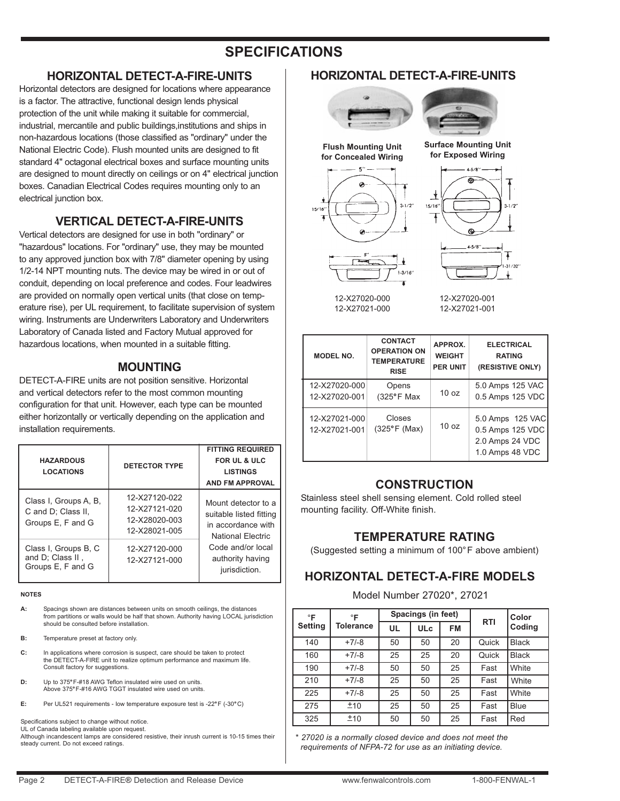# **SPECIFICATIONS**

#### **HORIZONTAL DETECT-A-FIRE-UNITS**

Horizontal detectors are designed for locations where appearance is a factor. The attractive, functional design lends physical protection of the unit while making it suitable for commercial, industrial, mercantile and public buildings,institutions and ships in non-hazardous locations (those classified as "ordinary" under the National Electric Code). Flush mounted units are designed to fit standard 4" octagonal electrical boxes and surface mounting units are designed to mount directly on ceilings or on 4" electrical junction boxes. Canadian Electrical Codes requires mounting only to an electrical junction box.

#### **VERTICAL DETECT-A-FIRE-UNITS**

Vertical detectors are designed for use in both "ordinary" or "hazardous" locations. For "ordinary" use, they may be mounted to any approved junction box with 7/8" diameter opening by using 1/2-14 NPT mounting nuts. The device may be wired in or out of conduit, depending on local preference and codes. Four leadwires are provided on normally open vertical units (that close on temperature rise), per UL requirement, to facilitate supervision of system wiring. Instruments are Underwriters Laboratory and Underwriters Laboratory of Canada listed and Factory Mutual approved for hazardous locations, when mounted in a suitable fitting.

#### **MOUNTING**

DETECT-A-FIRE units are not position sensitive. Horizontal and vertical detectors refer to the most common mounting configuration for that unit. However, each type can be mounted either horizontally or vertically depending on the application and installation requirements.

| <b>HAZARDOUS</b><br><b>LOCATIONS</b>                             | <b>DETECTOR TYPE</b>                                             | <b>FITTING REQUIRED</b><br><b>FOR UL &amp; ULC</b><br><b>LISTINGS</b><br><b>AND FM APPROVAL</b> |
|------------------------------------------------------------------|------------------------------------------------------------------|-------------------------------------------------------------------------------------------------|
| Class I, Groups A, B,<br>C and D; Class II,<br>Groups E, F and G | 12-X27120-022<br>12-X27121-020<br>12-X28020-003<br>12-X28021-005 | Mount detector to a<br>suitable listed fitting<br>in accordance with<br>National Flectric       |
| Class I, Groups B, C<br>and D; Class II,<br>Groups E, F and G    | 12-X27120-000<br>12-X27121-000                                   | Code and/or local<br>authority having<br>jurisdiction.                                          |

#### **NOTES**

**A:** Spacings shown are distances between units on smooth ceilings, the distances from partitions or walls would be half that shown. Authority having LOCAL jurisdiction should be consulted before installation.

- **B:** Temperature preset at factory only.
- **C:** In applications where corrosion is suspect, care should be taken to protect the DETECT-A-FIRE unit to realize optimum performance and maximum life. Consult factory for suggestions.
- **D:** Up to 375*°*F-#18 AWG Teflon insulated wire used on units. Above 375*°*F-#16 AWG TGGT insulated wire used on units.
- **E:** Per UL521 requirements low temperature exposure test is -22*°*F (-30*°*C)

#### Specifications subject to change without notice. UL of Canada labeling available upon request.

Although incandescent lamps are considered resistive, their inrush current is 10-15 times their steady current. Do not exceed ratings.

#### **HORIZONTAL DETECT-A-FIRE-UNITS**







12-X27020-000 12-X27021-000 12-X27020-001 12-X27021-001

| <b>MODEL NO.</b>               | <b>CONTACT</b><br><b>OPERATION ON</b><br><b>TEMPERATURE</b><br><b>RISE</b> | APPROX.<br><b>WEIGHT</b><br><b>PER UNIT</b> | <b>ELECTRICAL</b><br><b>RATING</b><br>(RESISTIVE ONLY)                     |
|--------------------------------|----------------------------------------------------------------------------|---------------------------------------------|----------------------------------------------------------------------------|
| 12-X27020-000<br>12-X27020-001 | Opens<br>$(325^{\circ}F$ Max                                               | 10 <sub>oz</sub>                            | 5.0 Amps 125 VAC<br>0.5 Amps 125 VDC                                       |
| 12-X27021-000<br>12-X27021-001 | Closes<br>$(325^{\circ}F (Max))$                                           | 10 <sub>oz</sub>                            | 5.0 Amps 125 VAC<br>0.5 Amps 125 VDC<br>2.0 Amps 24 VDC<br>1.0 Amps 48 VDC |

#### **CONSTRUCTION**

Stainless steel shell sensing element. Cold rolled steel mounting facility. Off-White finish.

### **TEMPERATURE RATING**

(Suggested setting a minimum of 100°F above ambient)

#### **HORIZONTAL DETECT-A-FIRE MODELS**

#### Model Number 27020\*, 27021

| $\circ$ F      | $\circ$ F |           | Spacings (in feet)<br><b>RTI</b> |           | Color |              |
|----------------|-----------|-----------|----------------------------------|-----------|-------|--------------|
| <b>Setting</b> | Tolerance | <b>UL</b> | <b>ULc</b>                       | <b>FM</b> |       | Coding       |
| 140            | $+7/-8$   | 50        | 50                               | 20        | Quick | <b>Black</b> |
| 160            | $+7/-8$   | 25        | 25                               | 20        | Quick | <b>Black</b> |
| 190            | $+7/-8$   | 50        | 50                               | 25        | Fast  | White        |
| 210            | $+7/-8$   | 25        | 50                               | 25        | Fast  | White        |
| 225            | $+7/-8$   | 25        | 50                               | 25        | Fast  | White        |
| 275            | ±10       | 25        | 50                               | 25        | Fast  | <b>Blue</b>  |
| 325            | ±10       | 50        | 50                               | 25        | Fast  | Red          |

*\* 27020 is a normally closed device and does not meet the requirements of NFPA-72 for use as an initiating device.*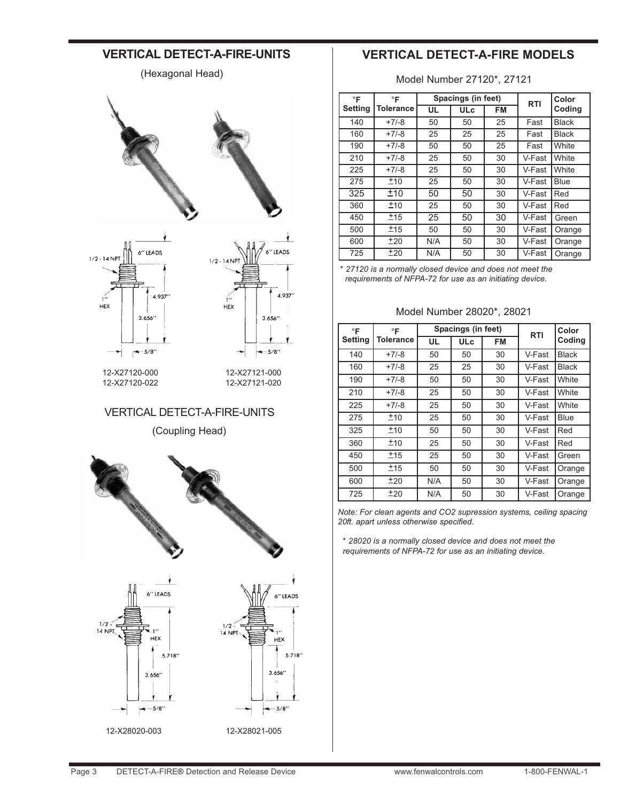## **VERTICAL DETECT-A-FIRE-UNITS**

(Hexagonal Head)



#### VERTICAL DETECT-A-FIRE-UNITS

(Coupling Head)





12-X28020-003 12-X28021-005

# **VERTICAL DETECT-A-FIRE MODELS**

Model Number 27120\*, 27121

| °F      | °F        |     | Spacings (in feet) |    | <b>RTI</b> | Color        |
|---------|-----------|-----|--------------------|----|------------|--------------|
| Setting | Tolerance | UL  | <b>ULc</b>         | FM |            | Coding       |
| 140     | $+7/-8$   | 50  | 50                 | 25 | Fast       | <b>Black</b> |
| 160     | $+7/-8$   | 25  | 25                 | 25 | Fast       | <b>Black</b> |
| 190     | $+7/-8$   | 50  | 50                 | 25 | Fast       | White        |
| 210     | $+7/-8$   | 25  | 50                 | 30 | V-Fast     | White        |
| 225     | $+7/-8$   | 25  | 50                 | 30 | V-Fast     | White        |
| 275     | ±10       | 25  | 50                 | 30 | V-Fast     | <b>Blue</b>  |
| 325     | ±10       | 50  | 50                 | 30 | V-Fast     | Red          |
| 360     | ±10       | 25  | 50                 | 30 | V-Fast     | Red          |
| 450     | ±15       | 25  | 50                 | 30 | V-Fast     | Green        |
| 500     | ±15       | 50  | 50                 | 30 | V-Fast     | Orange       |
| 600     | ±20       | N/A | 50                 | 30 | V-Fast     | Orange       |
| 725     | ±20       | N/A | 50                 | 30 | V-Fast     | Orange       |

*\* 27120 is a normally closed device and does not meet the requirements of NFPA-72 for use as an initiating device.*

#### Model Number 28020\*, 28021

| $\circ$ F      | $\circ$ F |           | Spacings (in feet) | <b>RTI</b> | Color  |              |  |
|----------------|-----------|-----------|--------------------|------------|--------|--------------|--|
| <b>Setting</b> | Tolerance | <b>UL</b> | <b>ULc</b>         | FM         |        | Coding       |  |
| 140            | $+7/-8$   | 50        | 50                 | 30         | V-Fast | <b>Black</b> |  |
| 160            | $+7/-8$   | 25        | 25                 | 30         | V-Fast | <b>Black</b> |  |
| 190            | $+7/-8$   | 50        | 50                 | 30         | V-Fast | White        |  |
| 210            | $+7/-8$   | 25        | 50                 | 30         | V-Fast | White        |  |
| 225            | $+7/-8$   | 25        | 50                 | 30         | V-Fast | White        |  |
| 275            | ±10       | 25        | 50                 | 30         | V-Fast | Blue         |  |
| 325            | ±10       | 50        | 50                 | 30         | V-Fast | Red          |  |
| 360            | ±10       | 25        | 50                 | 30         | V-Fast | Red          |  |
| 450            | ±15       | 25        | 50                 | 30         | V-Fast | Green        |  |
| 500            | ±15       | 50        | 50                 | 30         | V-Fast | Orange       |  |
| 600            | ±20       | N/A       | 50                 | 30         | V-Fast | Orange       |  |
| 725            | ±20       | N/A       | 50                 | 30         | V-Fast | Orange       |  |

*Note: For clean agents and CO2 supression systems, ceiling spacing 20ft. apart unless otherwise specified.*

*\* 28020 is a normally closed device and does not meet the requirements of NFPA-72 for use as an initiating device.*